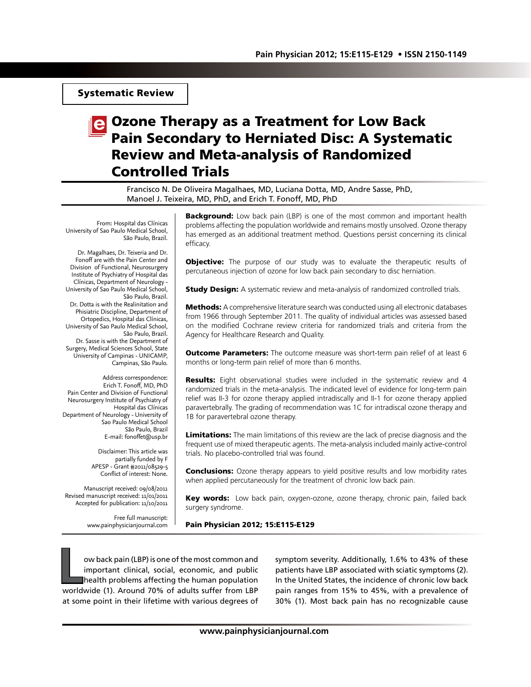## Systematic Review

# e Ozone Therapy as a Treatment for Low Back Pain Secondary to Herniated Disc: A Systematic Review and Meta-analysis of Randomized Controlled Trials

Francisco N. De Oliveira Magalhaes, MD, Luciana Dotta, MD, Andre Sasse, PhD, Manoel J. Teixeira, MD, PhD, and Erich T. Fonoff, MD, PhD

From: Hospital das Clínicas University of Sao Paulo Medical School, São Paulo, Brazil.

Dr. Magalhaes, Dr. Teixeria and Dr. Fonoff are with the Pain Center and Division of Functional, Neurosurgery Institute of Psychiatry of Hospital das Clínicas, Department of Neurology - University of Sao Paulo Medical School, São Paulo, Brazil. Dr. Dotta is with the Realinitation and Phisiatric Discipline, Department of Ortopedics, Hospital das Clínicas, University of Sao Paulo Medical School, São Paulo, Brazil. Dr. Sasse is with the Department of Surgery, Medical Sciences School, State University of Campinas - UNICAMP, Campinas, São Paulo.

Address correspondence: Erich T. Fonoff, MD, PhD Pain Center and Division of Functional Neurosurgery Institute of Psychiatry of Hospital das Clínicas Department of Neurology - University of Sao Paulo Medical School São Paulo, Brazil E-mail: fonoffet@usp.br

> Disclaimer: This article was partially funded by F APESP - Grant #2011/08529-5 Conflict of interest: None.

Manuscript received: 09/08/2011 Revised manuscript received: 11/01/2011 Accepted for publication: 11/10/2011

> Free full manuscript: www.painphysicianjournal.com

**Background:** Low back pain (LBP) is one of the most common and important health problems affecting the population worldwide and remains mostly unsolved. Ozone therapy has emerged as an additional treatment method. Questions persist concerning its clinical efficacy.

**Objective:** The purpose of our study was to evaluate the therapeutic results of percutaneous injection of ozone for low back pain secondary to disc herniation.

**Study Design:** A systematic review and meta-analysis of randomized controlled trials.

**Methods:** A comprehensive literature search was conducted using all electronic databases from 1966 through September 2011. The quality of individual articles was assessed based on the modified Cochrane review criteria for randomized trials and criteria from the Agency for Healthcare Research and Quality.

**Outcome Parameters:** The outcome measure was short-term pain relief of at least 6 months or long-term pain relief of more than 6 months.

**Results:** Eight observational studies were included in the systematic review and 4 randomized trials in the meta-analysis. The indicated level of evidence for long-term pain relief was II-3 for ozone therapy applied intradiscally and II-1 for ozone therapy applied paravertebrally. The grading of recommendation was 1C for intradiscal ozone therapy and 1B for paravertebral ozone therapy.

Limitations: The main limitations of this review are the lack of precise diagnosis and the frequent use of mixed therapeutic agents. The meta-analysis included mainly active-control trials. No placebo-controlled trial was found.

**Conclusions:** Ozone therapy appears to yield positive results and low morbidity rates when applied percutaneously for the treatment of chronic low back pain.

Key words: Low back pain, oxygen-ozone, ozone therapy, chronic pain, failed back surgery syndrome.

#### Pain Physician 2012; 15:E115-E129

**Low back pain (LBP) is one of the most common and<br>important clinical, social, economic, and public<br>health problems affecting the human population<br>worldwide (1). Around 70% of adults suffer from LBP** important clinical, social, economic, and public health problems affecting the human population worldwide (1). Around 70% of adults suffer from LBP at some point in their lifetime with various degrees of

symptom severity. Additionally, 1.6% to 43% of these patients have LBP associated with sciatic symptoms (2). In the United States, the incidence of chronic low back pain ranges from 15% to 45%, with a prevalence of 30% (1). Most back pain has no recognizable cause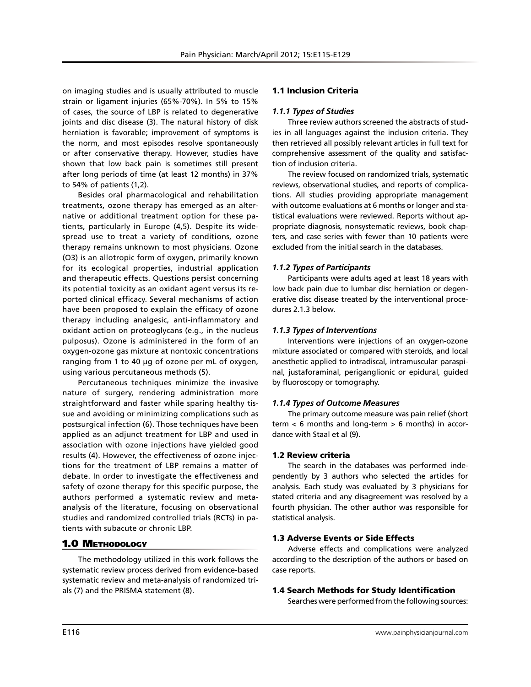on imaging studies and is usually attributed to muscle strain or ligament injuries (65%-70%). In 5% to 15% of cases, the source of LBP is related to degenerative joints and disc disease (3). The natural history of disk herniation is favorable; improvement of symptoms is the norm, and most episodes resolve spontaneously or after conservative therapy. However, studies have shown that low back pain is sometimes still present after long periods of time (at least 12 months) in 37% to 54% of patients (1,2).

Besides oral pharmacological and rehabilitation treatments, ozone therapy has emerged as an alternative or additional treatment option for these patients, particularly in Europe (4,5). Despite its widespread use to treat a variety of conditions, ozone therapy remains unknown to most physicians. Ozone (O3) is an allotropic form of oxygen, primarily known for its ecological properties, industrial application and therapeutic effects. Questions persist concerning its potential toxicity as an oxidant agent versus its reported clinical efficacy. Several mechanisms of action have been proposed to explain the efficacy of ozone therapy including analgesic, anti-inflammatory and oxidant action on proteoglycans (e.g., in the nucleus pulposus). Ozone is administered in the form of an oxygen-ozone gas mixture at nontoxic concentrations ranging from 1 to 40 µg of ozone per mL of oxygen, using various percutaneous methods (5).

Percutaneous techniques minimize the invasive nature of surgery, rendering administration more straightforward and faster while sparing healthy tissue and avoiding or minimizing complications such as postsurgical infection (6). Those techniques have been applied as an adjunct treatment for LBP and used in association with ozone injections have yielded good results (4). However, the effectiveness of ozone injections for the treatment of LBP remains a matter of debate. In order to investigate the effectiveness and safety of ozone therapy for this specific purpose, the authors performed a systematic review and metaanalysis of the literature, focusing on observational studies and randomized controlled trials (RCTs) in patients with subacute or chronic LBP.

## 1.0 Methodology

The methodology utilized in this work follows the systematic review process derived from evidence-based systematic review and meta-analysis of randomized trials (7) and the PRISMA statement (8).

## 1.1 Inclusion Criteria

#### *1.1.1 Types of Studies*

Three review authors screened the abstracts of studies in all languages against the inclusion criteria. They then retrieved all possibly relevant articles in full text for comprehensive assessment of the quality and satisfaction of inclusion criteria.

The review focused on randomized trials, systematic reviews, observational studies, and reports of complications. All studies providing appropriate management with outcome evaluations at 6 months or longer and statistical evaluations were reviewed. Reports without appropriate diagnosis, nonsystematic reviews, book chapters, and case series with fewer than 10 patients were excluded from the initial search in the databases.

## *1.1.2 Types of Participants*

Participants were adults aged at least 18 years with low back pain due to lumbar disc herniation or degenerative disc disease treated by the interventional procedures 2.1.3 below.

## *1.1.3 Types of Interventions*

Interventions were injections of an oxygen-ozone mixture associated or compared with steroids, and local anesthetic applied to intradiscal, intramuscular paraspinal, justaforaminal, periganglionic or epidural, guided by fluoroscopy or tomography.

#### *1.1.4 Types of Outcome Measures*

The primary outcome measure was pain relief (short term < 6 months and long-term > 6 months) in accordance with Staal et al (9).

## 1.2 Review criteria

The search in the databases was performed independently by 3 authors who selected the articles for analysis. Each study was evaluated by 3 physicians for stated criteria and any disagreement was resolved by a fourth physician. The other author was responsible for statistical analysis.

## 1.3 Adverse Events or Side Effects

Adverse effects and complications were analyzed according to the description of the authors or based on case reports.

#### 1.4 Search Methods for Study Identification

Searches were performed from the following sources: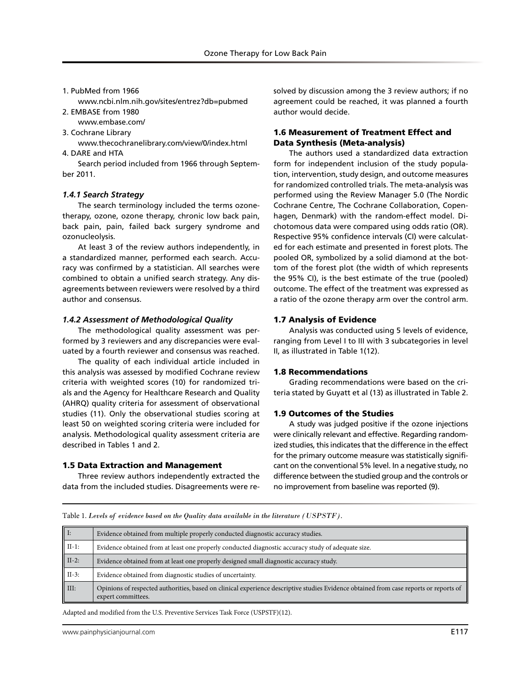1. PubMed from 1966

www.ncbi.nlm.nih.gov/sites/entrez?db=pubmed 2. EMBASE from 1980

- www.embase.com/
- 3. Cochrane Library
- www.thecochranelibrary.com/view/0/index.html 4. DARE and HTA

Search period included from 1966 through September 2011.

#### *1.4.1 Search Strategy*

The search terminology included the terms ozonetherapy, ozone, ozone therapy, chronic low back pain, back pain, pain, failed back surgery syndrome and ozonucleolysis.

At least 3 of the review authors independently, in a standardized manner, performed each search. Accuracy was confirmed by a statistician. All searches were combined to obtain a unified search strategy. Any disagreements between reviewers were resolved by a third author and consensus.

#### *1.4.2 Assessment of Methodological Quality*

The methodological quality assessment was performed by 3 reviewers and any discrepancies were evaluated by a fourth reviewer and consensus was reached.

The quality of each individual article included in this analysis was assessed by modified Cochrane review criteria with weighted scores (10) for randomized trials and the Agency for Healthcare Research and Quality (AHRQ) quality criteria for assessment of observational studies (11). Only the observational studies scoring at least 50 on weighted scoring criteria were included for analysis. Methodological quality assessment criteria are described in Tables 1 and 2.

#### 1.5 Data Extraction and Management

Three review authors independently extracted the data from the included studies. Disagreements were re-

solved by discussion among the 3 review authors; if no agreement could be reached, it was planned a fourth author would decide.

## 1.6 Measurement of Treatment Effect and Data Synthesis (Meta-analysis)

The authors used a standardized data extraction form for independent inclusion of the study population, intervention, study design, and outcome measures for randomized controlled trials. The meta-analysis was performed using the Review Manager 5.0 (The Nordic Cochrane Centre, The Cochrane Collaboration, Copenhagen, Denmark) with the random-effect model. Dichotomous data were compared using odds ratio (OR). Respective 95% confidence intervals (CI) were calculated for each estimate and presented in forest plots. The pooled OR, symbolized by a solid diamond at the bottom of the forest plot (the width of which represents the 95% CI), is the best estimate of the true (pooled) outcome. The effect of the treatment was expressed as a ratio of the ozone therapy arm over the control arm.

#### 1.7 Analysis of Evidence

Analysis was conducted using 5 levels of evidence, ranging from Level I to III with 3 subcategories in level II, as illustrated in Table 1(12).

#### 1.8 Recommendations

Grading recommendations were based on the criteria stated by Guyatt et al (13) as illustrated in Table 2.

#### 1.9 Outcomes of the Studies

A study was judged positive if the ozone injections were clinically relevant and effective. Regarding randomized studies, this indicates that the difference in the effect for the primary outcome measure was statistically significant on the conventional 5% level. In a negative study, no difference between the studied group and the controls or no improvement from baseline was reported (9).

Table 1. *Levels of evidence based on the Quality data available in the literature (USPSTF).*

| $\parallel$ I:    | Evidence obtained from multiple properly conducted diagnostic accuracy studies.                                                                             |
|-------------------|-------------------------------------------------------------------------------------------------------------------------------------------------------------|
| $\parallel$ II-1: | Evidence obtained from at least one properly conducted diagnostic accuracy study of adequate size.                                                          |
| $\parallel$ II-2: | Evidence obtained from at least one properly designed small diagnostic accuracy study.                                                                      |
| $\parallel$ II-3: | Evidence obtained from diagnostic studies of uncertainty.                                                                                                   |
| $\parallel$ III:  | Opinions of respected authorities, based on clinical experience descriptive studies Evidence obtained from case reports or reports of<br>expert committees. |

Adapted and modified from the U.S. Preventive Services Task Force (USPSTF)(12).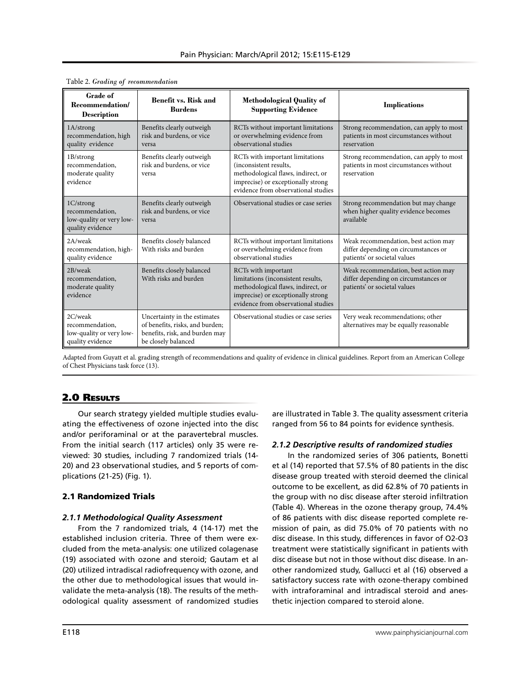| <b>Grade of</b><br>Recommendation/<br><b>Description</b>                     | <b>Benefit vs. Risk and</b><br><b>Burdens</b>                                                                            | <b>Methodological Quality of</b><br><b>Supporting Evidence</b>                                                                                                               | <b>Implications</b>                                                                                          |
|------------------------------------------------------------------------------|--------------------------------------------------------------------------------------------------------------------------|------------------------------------------------------------------------------------------------------------------------------------------------------------------------------|--------------------------------------------------------------------------------------------------------------|
| 1A/strong<br>recommendation, high<br>quality evidence                        | Benefits clearly outweigh<br>risk and burdens, or vice<br>versa                                                          | RCTs without important limitations<br>or overwhelming evidence from<br>observational studies                                                                                 | Strong recommendation, can apply to most<br>patients in most circumstances without<br>reservation            |
| 1B/strong<br>recommendation,<br>moderate quality<br>evidence                 | Benefits clearly outweigh<br>risk and burdens, or vice<br>versa                                                          | RCTs with important limitations<br>(inconsistent results,<br>methodological flaws, indirect, or<br>imprecise) or exceptionally strong<br>evidence from observational studies | Strong recommendation, can apply to most<br>patients in most circumstances without<br>reservation            |
| 1C/strong<br>recommendation,<br>low-quality or very low-<br>quality evidence | Benefits clearly outweigh<br>risk and burdens, or vice<br>versa                                                          | Observational studies or case series                                                                                                                                         | Strong recommendation but may change<br>when higher quality evidence becomes<br>available                    |
| 2A/weak<br>recommendation, high-<br>quality evidence                         | Benefits closely balanced<br>With risks and burden                                                                       | RCTs without important limitations<br>or overwhelming evidence from<br>observational studies                                                                                 | Weak recommendation, best action may<br>differ depending on circumstances or<br>patients' or societal values |
| 2B/weak<br>recommendation.<br>moderate quality<br>evidence                   | Benefits closely balanced<br>With risks and burden                                                                       | RCTs with important<br>limitations (inconsistent results,<br>methodological flaws, indirect, or<br>imprecise) or exceptionally strong<br>evidence from observational studies | Weak recommendation, best action may<br>differ depending on circumstances or<br>patients' or societal values |
| 2C/weak<br>recommendation.<br>low-quality or very low-<br>quality evidence   | Uncertainty in the estimates<br>of benefits, risks, and burden;<br>benefits, risk, and burden may<br>be closely balanced | Observational studies or case series                                                                                                                                         | Very weak recommendations; other<br>alternatives may be equally reasonable                                   |

| Table 2. Grading of recommendation |  |  |  |  |
|------------------------------------|--|--|--|--|
|------------------------------------|--|--|--|--|

Adapted from Guyatt et al. grading strength of recommendations and quality of evidence in clinical guidelines. Report from an American College of Chest Physicians task force (13).

## 2.0 Results

Our search strategy yielded multiple studies evaluating the effectiveness of ozone injected into the disc and/or periforaminal or at the paravertebral muscles. From the initial search (117 articles) only 35 were reviewed: 30 studies, including 7 randomized trials (14- 20) and 23 observational studies, and 5 reports of complications (21-25) (Fig. 1).

## 2.1 Randomized Trials

## *2.1.1 Methodological Quality Assessment*

From the 7 randomized trials, 4 (14-17) met the established inclusion criteria. Three of them were excluded from the meta-analysis: one utilized colagenase (19) associated with ozone and steroid; Gautam et al (20) utilized intradiscal radiofrequency with ozone, and the other due to methodological issues that would invalidate the meta-analysis (18). The results of the methodological quality assessment of randomized studies

are illustrated in Table 3. The quality assessment criteria ranged from 56 to 84 points for evidence synthesis.

## *2.1.2 Descriptive results of randomized studies*

In the randomized series of 306 patients, Bonetti et al (14) reported that 57.5% of 80 patients in the disc disease group treated with steroid deemed the clinical outcome to be excellent, as did 62.8% of 70 patients in the group with no disc disease after steroid infiltration (Table 4). Whereas in the ozone therapy group, 74.4% of 86 patients with disc disease reported complete remission of pain, as did 75.0% of 70 patients with no disc disease. In this study, differences in favor of O2-O3 treatment were statistically significant in patients with disc disease but not in those without disc disease. In another randomized study, Gallucci et al (16) observed a satisfactory success rate with ozone-therapy combined with intraforaminal and intradiscal steroid and anesthetic injection compared to steroid alone.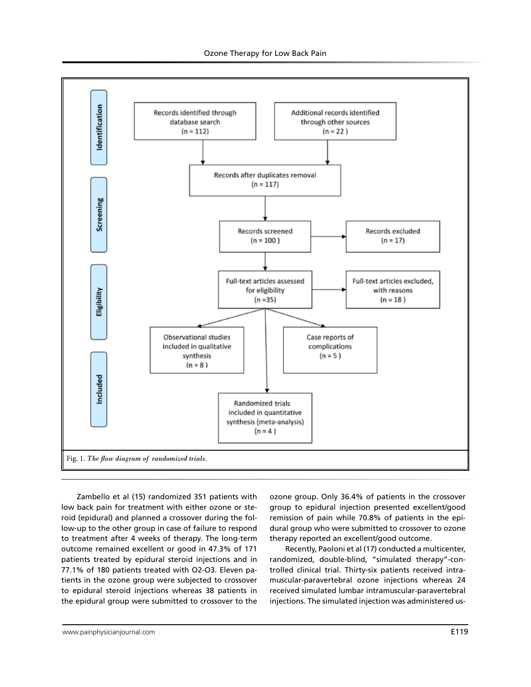

Zambello et al (15) randomized 351 patients with low back pain for treatment with either ozone or steroid (epidural) and planned a crossover during the follow-up to the other group in case of failure to respond to treatment after 4 weeks of therapy. The long-term outcome remained excellent or good in 47.3% of 171 patients treated by epidural steroid injections and in 77.1% of 180 patients treated with O2-O3. Eleven patients in the ozone group were subjected to crossover to epidural steroid injections whereas 38 patients in the epidural group were submitted to crossover to the

ozone group. Only 36.4% of patients in the crossover group to epidural injection presented excellent/good remission of pain while 70.8% of patients in the epidural group who were submitted to crossover to ozone therapy reported an excellent/good outcome.

Recently, Paoloni et al (17) conducted a multicenter, randomized, double-blind, "simulated therapy"-controlled clinical trial. Thirty-six patients received intramuscular-paravertebral ozone injections whereas 24 received simulated lumbar intramuscular-paravertebral injections. The simulated injection was administered us-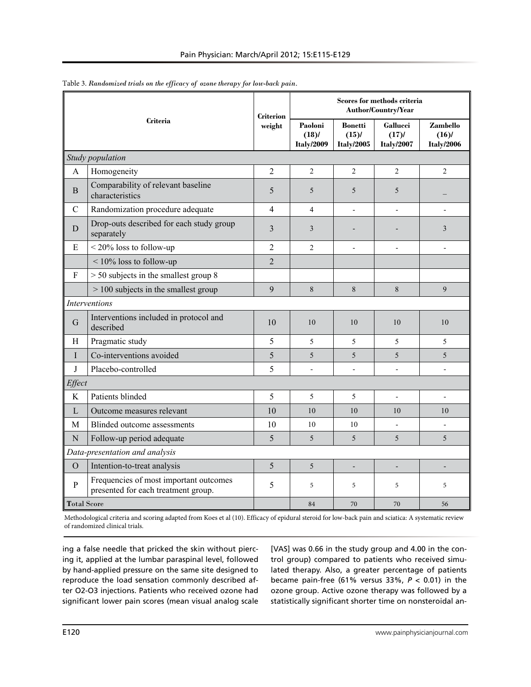|                    |                                                                               |                            | Scores for methods criteria<br>Author/Country/Year |                                                 |                                       |                                       |
|--------------------|-------------------------------------------------------------------------------|----------------------------|----------------------------------------------------|-------------------------------------------------|---------------------------------------|---------------------------------------|
|                    | <b>Criteria</b>                                                               | <b>Criterion</b><br>weight | Paoloni<br>(18)<br><b>Italy/2009</b>               | <b>Bonetti</b><br>$(15)$ /<br><b>Italy/2005</b> | <b>Gallucci</b><br>(17)<br>Italy/2007 | Zambello<br>(16)<br><b>Italy/2006</b> |
|                    | Study population                                                              |                            |                                                    |                                                 |                                       |                                       |
| A                  | Homogeneity                                                                   | $\overline{2}$             | $\overline{c}$                                     | $\overline{2}$                                  | 2                                     | $\overline{2}$                        |
| B                  | Comparability of relevant baseline<br>characteristics                         | 5                          | 5                                                  | 5                                               | 5                                     |                                       |
| $\mathcal{C}$      | Randomization procedure adequate                                              | $\overline{4}$             | $\overline{4}$                                     | $\overline{a}$                                  | $\overline{a}$                        | $\overline{a}$                        |
| D                  | Drop-outs described for each study group<br>separately                        | 3                          | 3                                                  |                                                 |                                       | 3                                     |
| E                  | $<$ 20% loss to follow-up                                                     | $\overline{2}$             | $\overline{2}$                                     | $\overline{a}$                                  | $\overline{a}$                        | L,                                    |
|                    | $\leq 10\%$ loss to follow-up                                                 | $\overline{2}$             |                                                    |                                                 |                                       |                                       |
| ${\bf F}$          | $>$ 50 subjects in the smallest group 8                                       |                            |                                                    |                                                 |                                       |                                       |
|                    | $> 100$ subjects in the smallest group                                        | 9                          | 8                                                  | 8                                               | 8                                     | 9                                     |
|                    | <b>Interventions</b>                                                          |                            |                                                    |                                                 |                                       |                                       |
| G                  | Interventions included in protocol and<br>described                           | 10                         | 10                                                 | 10                                              | 10                                    | 10                                    |
| H                  | Pragmatic study                                                               | 5                          | 5                                                  | 5                                               | 5                                     | 5                                     |
| I                  | Co-interventions avoided                                                      | 5                          | 5                                                  | 5                                               | 5                                     | 5                                     |
| J                  | Placebo-controlled                                                            | 5                          |                                                    |                                                 |                                       |                                       |
| Effect             |                                                                               |                            |                                                    |                                                 |                                       |                                       |
| K                  | Patients blinded                                                              | 5                          | 5                                                  | 5                                               | $\overline{a}$                        |                                       |
| $\mathbf{L}$       | Outcome measures relevant                                                     | 10                         | 10                                                 | 10                                              | 10                                    | 10                                    |
| M                  | Blinded outcome assessments                                                   | 10                         | 10                                                 | 10                                              |                                       |                                       |
| $\mathbf N$        | Follow-up period adequate                                                     | 5                          | 5                                                  | 5                                               | 5                                     | 5                                     |
|                    | Data-presentation and analysis                                                |                            |                                                    |                                                 |                                       |                                       |
| $\Omega$           | Intention-to-treat analysis                                                   | 5                          | 5                                                  |                                                 |                                       |                                       |
| P                  | Frequencies of most important outcomes<br>presented for each treatment group. | 5                          | 5                                                  | 5                                               | 5                                     | 5                                     |
| <b>Total Score</b> |                                                                               |                            | 84                                                 | 70                                              | 70                                    | 56                                    |

Table 3. *Randomized trials on the efficacy of ozone therapy for low-back pain.* 

Methodological criteria and scoring adapted from Koes et al (10). Efficacy of epidural steroid for low-back pain and sciatica: A systematic review of randomized clinical trials.

ing a false needle that pricked the skin without piercing it, applied at the lumbar paraspinal level, followed by hand-applied pressure on the same site designed to reproduce the load sensation commonly described after O2-O3 injections. Patients who received ozone had significant lower pain scores (mean visual analog scale

[VAS] was 0.66 in the study group and 4.00 in the control group) compared to patients who received simulated therapy. Also, a greater percentage of patients became pain-free (61% versus 33%, *P* < 0.01) in the ozone group. Active ozone therapy was followed by a statistically significant shorter time on nonsteroidal an-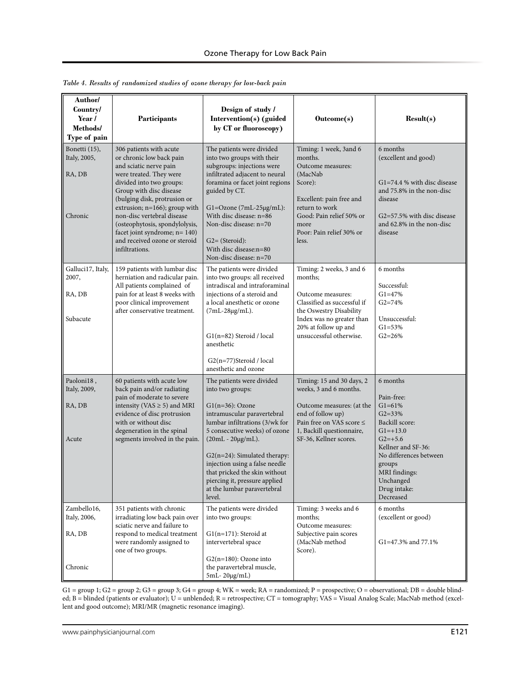| Author/<br>Country/<br>Year /<br>Methods/<br>Type of pain | Participants                                                                                                                                                                                                                                                                                                                                                                         | Design of study /<br>Intervention(s) (guided<br>by CT or fluoroscopy)                                                                                                                                                                                                                                                                                                      | Outcome(s)                                                                                                                                                                                           | Result(s)                                                                                                                                                                                                              |
|-----------------------------------------------------------|--------------------------------------------------------------------------------------------------------------------------------------------------------------------------------------------------------------------------------------------------------------------------------------------------------------------------------------------------------------------------------------|----------------------------------------------------------------------------------------------------------------------------------------------------------------------------------------------------------------------------------------------------------------------------------------------------------------------------------------------------------------------------|------------------------------------------------------------------------------------------------------------------------------------------------------------------------------------------------------|------------------------------------------------------------------------------------------------------------------------------------------------------------------------------------------------------------------------|
| Bonetti (15),<br>Italy, 2005,<br>RA, DB<br>Chronic        | 306 patients with acute<br>or chronic low back pain<br>and sciatic nerve pain<br>were treated. They were<br>divided into two groups:<br>Group with disc disease<br>(bulging disk, protrusion or<br>extrusion; n=166); group with<br>non-disc vertebral disease<br>(osteophytosis, spondylolysis,<br>facet joint syndrome; n= 140)<br>and received ozone or steroid<br>infiltrations. | The patients were divided<br>into two groups with their<br>subgroups: injections were<br>infiltrated adjacent to neural<br>foramina or facet joint regions<br>guided by CT.<br>$Gl = Ozone$ (7mL-25 $\mu$ g/mL):<br>With disc disease: n=86<br>Non-disc disease: n=70<br>$G2 = (Steroid):$<br>With disc disease:n=80<br>Non-disc disease: n=70                             | Timing: 1 week, 3and 6<br>months.<br>Outcome measures:<br>(MacNab)<br>Score):<br>Excellent: pain free and<br>return to work<br>Good: Pain relief 50% or<br>more<br>Poor: Pain relief 30% or<br>less. | 6 months<br>(excellent and good)<br>G1=74.4 % with disc disease<br>and 75.8% in the non-disc<br>disease<br>G2=57.5% with disc disease<br>and 62.8% in the non-disc<br>disease                                          |
| Galluci17, Italy,<br>2007,<br>RA, DB<br>Subacute          | 159 patients with lumbar disc<br>herniation and radicular pain.<br>All patients complained of<br>pain for at least 8 weeks with<br>poor clinical improvement<br>after conservative treatment.                                                                                                                                                                                        | The patients were divided<br>into two groups: all received<br>intradiscal and intraforaminal<br>injections of a steroid and<br>a local anesthetic or ozone<br>(7mL-28μg/mL).<br>G1(n=82) Steroid / local<br>anesthetic<br>G2(n=77)Steroid / local<br>anesthetic and ozone                                                                                                  | Timing: 2 weeks, 3 and 6<br>months;<br>Outcome measures:<br>Classified as successful if<br>the Oswestry Disability<br>Index was no greater than<br>20% at follow up and<br>unsuccessful otherwise.   | 6 months<br>Successful:<br>$G1 = 47%$<br>$G2 = 74%$<br>Unsuccessful:<br>$G1 = 53%$<br>$G2 = 26%$                                                                                                                       |
| Paoloni18,<br>Italy, 2009,<br>RA, DB<br>Acute             | 60 patients with acute low<br>back pain and/or radiating<br>pain of moderate to severe<br>intensity (VAS $\geq$ 5) and MRI<br>evidence of disc protrusion<br>with or without disc<br>degeneration in the spinal<br>segments involved in the pain.                                                                                                                                    | The patients were divided<br>into two groups:<br>$G1(n=36)$ : Ozone<br>intramuscular paravertebral<br>lumbar infiltrations (3/wk for<br>5 consecutive weeks) of ozone<br>(20mL - 20μg/mL).<br>$G2(n=24)$ : Simulated therapy:<br>injection using a false needle<br>that pricked the skin without<br>piercing it, pressure applied<br>at the lumbar paravertebral<br>level. | Timing: 15 and 30 days, 2<br>weeks, 3 and 6 months.<br>Outcome measures: (at the<br>end of follow up)<br>Pain free on VAS score $\leq$<br>1, Backill questionnaire,<br>SF-36, Kellner scores.        | 6 months<br>Pain-free:<br>$G1 = 61%$<br>$G2 = 33%$<br>Backill score:<br>$G1 = +13.0$<br>$G2=+5.6$<br>Kellner and SF-36:<br>No differences between<br>groups<br>MRI findings:<br>Unchanged<br>Drug intake:<br>Decreased |
| Zambello16,<br>Italy, 2006,<br>RA, DB<br>Chronic          | 351 patients with chronic<br>irradiating low back pain over<br>sciatic nerve and failure to<br>respond to medical treatment<br>were randomly assigned to<br>one of two groups.                                                                                                                                                                                                       | The patients were divided<br>into two groups:<br>$G1(n=171)$ : Steroid at<br>intervertebral space<br>$G2(n=180)$ : Ozone into<br>the paravertebral muscle,<br>5mL-20μg/mL)                                                                                                                                                                                                 | Timing: 3 weeks and 6<br>months;<br>Outcome measures:<br>Subjective pain scores<br>(MacNab method<br>Score).                                                                                         | 6 months<br>(excellent or good)<br>G1=47.3% and 77.1%                                                                                                                                                                  |

*Table 4. Results of randomized studies of ozone therapy for low-back pain*

 $G1 = \text{group 1}; G2 = \text{group 2}; G3 = \text{group 3}; G4 = \text{group 4}; WK = week; RA = \text{randomized}; P = \text{prospective}; O = \text{observational}; DB = \text{double blind-}$ ed; B = blinded (patients or evaluator); U = unblended; R = retrospective; CT = tomography; VAS = Visual Analog Scale; MacNab method (excellent and good outcome); MRI/MR (magnetic resonance imaging).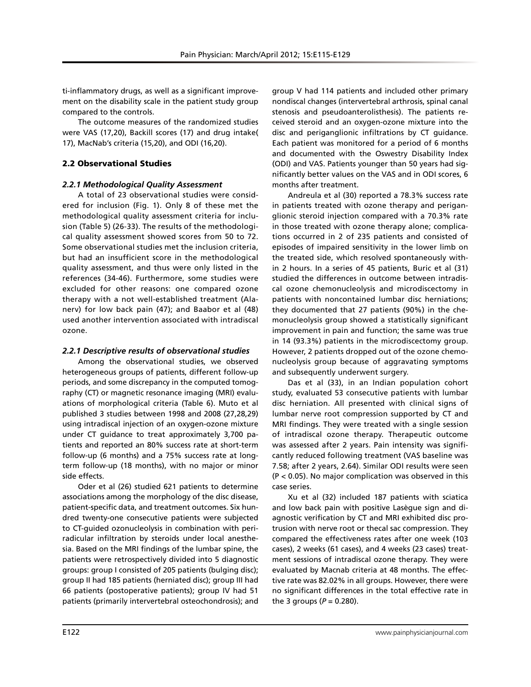ti-inflammatory drugs, as well as a significant improvement on the disability scale in the patient study group compared to the controls.

The outcome measures of the randomized studies were VAS (17,20), Backill scores (17) and drug intake( 17), MacNab's criteria (15,20), and ODI (16,20).

## 2.2 Observational Studies

## *2.2.1 Methodological Quality Assessment*

A total of 23 observational studies were considered for inclusion (Fig. 1). Only 8 of these met the methodological quality assessment criteria for inclusion (Table 5) (26-33). The results of the methodological quality assessment showed scores from 50 to 72. Some observational studies met the inclusion criteria, but had an insufficient score in the methodological quality assessment, and thus were only listed in the references (34-46). Furthermore, some studies were excluded for other reasons: one compared ozone therapy with a not well-established treatment (Alanerv) for low back pain (47); and Baabor et al (48) used another intervention associated with intradiscal ozone.

## *2.2.1 Descriptive results of observational studies*

Among the observational studies, we observed heterogeneous groups of patients, different follow-up periods, and some discrepancy in the computed tomography (CT) or magnetic resonance imaging (MRI) evaluations of morphological criteria (Table 6). Muto et al published 3 studies between 1998 and 2008 (27,28,29) using intradiscal injection of an oxygen-ozone mixture under CT guidance to treat approximately 3,700 patients and reported an 80% success rate at short-term follow-up (6 months) and a 75% success rate at longterm follow-up (18 months), with no major or minor side effects.

Oder et al (26) studied 621 patients to determine associations among the morphology of the disc disease, patient-specific data, and treatment outcomes. Six hundred twenty-one consecutive patients were subjected to CT-guided ozonucleolysis in combination with periradicular infiltration by steroids under local anesthesia. Based on the MRI findings of the lumbar spine, the patients were retrospectively divided into 5 diagnostic groups: group I consisted of 205 patients (bulging disc); group II had 185 patients (herniated disc); group III had 66 patients (postoperative patients); group IV had 51 patients (primarily intervertebral osteochondrosis); and

group V had 114 patients and included other primary nondiscal changes (intervertebral arthrosis, spinal canal stenosis and pseudoanterolisthesis). The patients received steroid and an oxygen-ozone mixture into the disc and periganglionic infiltrations by CT guidance. Each patient was monitored for a period of 6 months and documented with the Oswestry Disability Index (ODI) and VAS. Patients younger than 50 years had significantly better values on the VAS and in ODI scores, 6 months after treatment.

Andreula et al (30) reported a 78.3% success rate in patients treated with ozone therapy and periganglionic steroid injection compared with a 70.3% rate in those treated with ozone therapy alone; complications occurred in 2 of 235 patients and consisted of episodes of impaired sensitivity in the lower limb on the treated side, which resolved spontaneously within 2 hours. In a series of 45 patients, Buric et al (31) studied the differences in outcome between intradiscal ozone chemonucleolysis and microdiscectomy in patients with noncontained lumbar disc herniations; they documented that 27 patients (90%) in the chemonucleolysis group showed a statistically significant improvement in pain and function; the same was true in 14 (93.3%) patients in the microdiscectomy group. However, 2 patients dropped out of the ozone chemonucleolysis group because of aggravating symptoms and subsequently underwent surgery.

Das et al (33), in an Indian population cohort study, evaluated 53 consecutive patients with lumbar disc herniation. All presented with clinical signs of lumbar nerve root compression supported by CT and MRI findings. They were treated with a single session of intradiscal ozone therapy. Therapeutic outcome was assessed after 2 years. Pain intensity was significantly reduced following treatment (VAS baseline was 7.58; after 2 years, 2.64). Similar ODI results were seen (P < 0.05). No major complication was observed in this case series.

Xu et al (32) included 187 patients with sciatica and low back pain with positive Lasègue sign and diagnostic verification by CT and MRI exhibited disc protrusion with nerve root or thecal sac compression. They compared the effectiveness rates after one week (103 cases), 2 weeks (61 cases), and 4 weeks (23 cases) treatment sessions of intradiscal ozone therapy. They were evaluated by Macnab criteria at 48 months. The effective rate was 82.02% in all groups. However, there were no significant differences in the total effective rate in the 3 groups ( $P = 0.280$ ).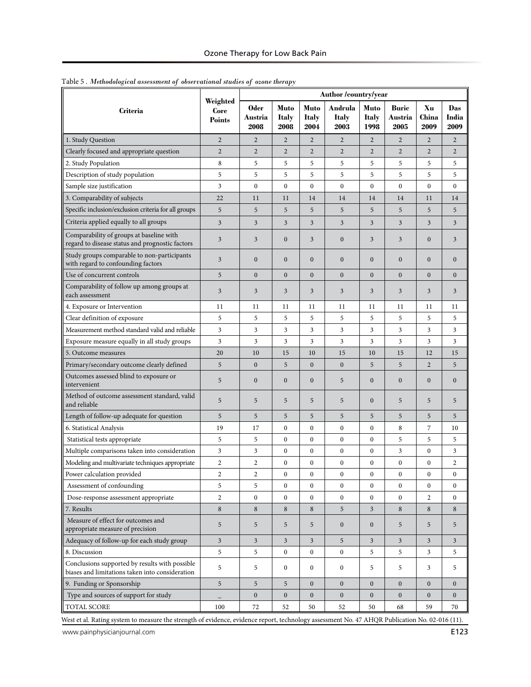|                                                                                                   |                                   | Author /country/year           |                              |                              |                          |                              |                                 |                     |                         |
|---------------------------------------------------------------------------------------------------|-----------------------------------|--------------------------------|------------------------------|------------------------------|--------------------------|------------------------------|---------------------------------|---------------------|-------------------------|
| <b>Criteria</b>                                                                                   | Weighted<br>Core<br><b>Points</b> | <b>Oder</b><br>Austria<br>2008 | Muto<br><b>Italy</b><br>2008 | <b>Muto</b><br>Italy<br>2004 | Andrula<br>Italy<br>2003 | Muto<br><b>Italy</b><br>1998 | <b>Buric</b><br>Austria<br>2005 | Xu<br>China<br>2009 | Das<br>India<br>2009    |
| 1. Study Question                                                                                 | $\overline{2}$                    | $\overline{2}$                 | $\overline{2}$               | $\overline{2}$               | $\overline{2}$           | $\overline{2}$               | $\overline{2}$                  | $\overline{2}$      | $\overline{2}$          |
| Clearly focused and appropriate question                                                          | $\overline{2}$                    | $\overline{2}$                 | $\overline{c}$               | $\mathbf{2}$                 | $\overline{2}$           | $\overline{2}$               | $\boldsymbol{2}$                | $\sqrt{2}$          | $\overline{2}$          |
| 2. Study Population                                                                               | 8                                 | 5                              | 5                            | 5                            | 5                        | 5                            | 5                               | 5                   | 5                       |
| Description of study population                                                                   | 5                                 | 5                              | 5                            | 5                            | 5                        | 5                            | 5                               | 5                   | 5                       |
| Sample size justification                                                                         | 3                                 | $\mathbf{0}$                   | $\boldsymbol{0}$             | $\mathbf{0}$                 | $\mathbf{0}$             | $\mathbf{0}$                 | $\boldsymbol{0}$                | $\mathbf{0}$        | $\boldsymbol{0}$        |
| 3. Comparability of subjects                                                                      | 22                                | 11                             | 11                           | 14                           | 14                       | 14                           | 14                              | 11                  | 14                      |
| Specific inclusion/exclusion criteria for all groups                                              | 5                                 | 5                              | 5                            | 5                            | 5                        | 5                            | 5                               | 5                   | 5                       |
| Criteria applied equally to all groups                                                            | $\overline{\mathbf{3}}$           | 3                              | 3                            | 3                            | $\mathfrak{Z}$           | 3                            | 3                               | 3                   | 3                       |
| Comparability of groups at baseline with<br>regard to disease status and prognostic factors       | 3                                 | 3                              | $\boldsymbol{0}$             | 3                            | $\boldsymbol{0}$         | 3                            | 3                               | $\boldsymbol{0}$    | 3                       |
| Study groups comparable to non-participants<br>with regard to confounding factors                 | 3                                 | $\mathbf{0}$                   | $\mathbf{0}$                 | $\mathbf{0}$                 | $\boldsymbol{0}$         | $\mathbf{0}$                 | $\boldsymbol{0}$                | $\mathbf{0}$        | $\mathbf{0}$            |
| Use of concurrent controls                                                                        | 5                                 | $\mathbf{0}$                   | $\mathbf{0}$                 | $\mathbf{0}$                 | $\mathbf{0}$             | $\mathbf{0}$                 | $\mathbf{0}$                    | $\mathbf{0}$        | $\boldsymbol{0}$        |
| Comparability of follow up among groups at<br>each assessment                                     | 3                                 | 3                              | 3                            | 3                            | 3                        | 3                            | 3                               | 3                   | 3                       |
| 4. Exposure or Intervention                                                                       | 11                                | 11                             | 11                           | 11                           | 11                       | 11                           | 11                              | 11                  | 11                      |
| Clear definition of exposure                                                                      | 5                                 | 5                              | 5                            | 5                            | 5                        | 5                            | 5                               | 5                   | 5                       |
| Measurement method standard valid and reliable                                                    | 3                                 | 3                              | 3                            | 3                            | 3                        | 3                            | 3                               | 3                   | 3                       |
| Exposure measure equally in all study groups                                                      | 3                                 | 3                              | 3                            | 3                            | 3                        | 3                            | 3                               | 3                   | 3                       |
| 5. Outcome measures                                                                               | 20                                | 10                             | 15                           | 10                           | 15                       | 10                           | 15                              | 12                  | 15                      |
| Primary/secondary outcome clearly defined                                                         | 5                                 | $\boldsymbol{0}$               | 5                            | $\boldsymbol{0}$             | $\boldsymbol{0}$         | 5                            | 5                               | $\mathbf{2}$        | 5                       |
| Outcomes assessed blind to exposure or<br>intervenient                                            | 5                                 | $\mathbf{0}$                   | $\boldsymbol{0}$             | $\boldsymbol{0}$             | 5                        | $\boldsymbol{0}$             | $\boldsymbol{0}$                | $\boldsymbol{0}$    | $\boldsymbol{0}$        |
| Method of outcome assessment standard, valid<br>and reliable                                      | 5                                 | 5                              | 5                            | 5                            | 5                        | $\boldsymbol{0}$             | 5                               | 5                   | 5                       |
| Length of follow-up adequate for question                                                         | 5                                 | 5                              | 5                            | 5                            | 5                        | 5                            | 5                               | 5                   | 5                       |
| 6. Statistical Analysis                                                                           | 19                                | 17                             | $\boldsymbol{0}$             | $\boldsymbol{0}$             | $\boldsymbol{0}$         | $\boldsymbol{0}$             | 8                               | 7                   | 10                      |
| Statistical tests appropriate                                                                     | 5                                 | 5                              | $\mathbf{0}$                 | $\boldsymbol{0}$             | $\boldsymbol{0}$         | $\boldsymbol{0}$             | 5                               | 5                   | 5                       |
| Multiple comparisons taken into consideration                                                     | 3                                 | 3                              | $\boldsymbol{0}$             | $\boldsymbol{0}$             | $\boldsymbol{0}$         | $\boldsymbol{0}$             | 3                               | $\boldsymbol{0}$    | 3                       |
| Modeling and multivariate techniques appropriate                                                  | $\overline{c}$                    | $\overline{c}$                 | $\boldsymbol{0}$             | $\boldsymbol{0}$             | $\boldsymbol{0}$         | $\boldsymbol{0}$             | $\boldsymbol{0}$                | $\boldsymbol{0}$    | $\overline{\mathbf{c}}$ |
| Power calculation provided                                                                        | $\overline{\mathbf{c}}$           | $\overline{c}$                 | $\theta$                     | $\Omega$                     | $\mathbf{0}$             | $\mathbf{0}$                 | $\theta$                        | $\Omega$            | $\theta$                |
| Assessment of confounding                                                                         | 5                                 | 5                              | $\boldsymbol{0}$             | $\boldsymbol{0}$             | $\boldsymbol{0}$         | $\boldsymbol{0}$             | $\boldsymbol{0}$                | $\boldsymbol{0}$    | $\boldsymbol{0}$        |
| Dose-response assessment appropriate                                                              | $\overline{2}$                    | $\mathbf{0}$                   | $\overline{0}$               | $\mathbf{0}$                 | $\boldsymbol{0}$         | $\boldsymbol{0}$             | $\mathbf{0}$                    | 2                   | $\mathbf{0}$            |
| 7. Results                                                                                        | $\,8\,$                           | 8                              | 8                            | 8                            | 5                        | $\mathfrak{Z}$               | $\,8\,$                         | 8                   | 8                       |
| Measure of effect for outcomes and<br>appropriate measure of precision                            | 5                                 | 5                              | 5                            | 5                            | $\boldsymbol{0}$         | $\mathbf{0}$                 | 5                               | 5                   | 5                       |
| Adequacy of follow-up for each study group                                                        | $\overline{3}$                    | 3                              | $\overline{\mathbf{3}}$      | $\mathfrak{Z}$               | 5                        | 3                            | $\mathfrak{Z}$                  | 3                   | $\mathbf{3}$            |
| 8. Discussion                                                                                     | 5                                 | 5                              | $\boldsymbol{0}$             | $\boldsymbol{0}$             | $\boldsymbol{0}$         | 5                            | 5                               | 3                   | 5                       |
| Conclusions supported by results with possible<br>biases and limitations taken into consideration | 5                                 | 5                              | $\boldsymbol{0}$             | $\mathbf{0}$                 | $\boldsymbol{0}$         | 5                            | 5                               | 3                   | 5                       |
| 9. Funding or Sponsorship                                                                         | 5                                 | 5                              | 5                            | $\boldsymbol{0}$             | $\boldsymbol{0}$         | $\boldsymbol{0}$             | $\boldsymbol{0}$                | $\boldsymbol{0}$    | $\mathbf{0}$            |
| Type and sources of support for study                                                             |                                   | $\boldsymbol{0}$               | $\overline{0}$               | $\overline{0}$               | $\boldsymbol{0}$         | $\boldsymbol{0}$             | $\boldsymbol{0}$                | $\boldsymbol{0}$    | $\overline{0}$          |
| TOTAL SCORE                                                                                       | 100                               | 72                             | 52                           | 50                           | 52                       | 50                           | 68                              | 59                  | 70                      |

Table 5 . *Methodological assessment of observational studies of ozone therapy*

West et al. Rating system to measure the strength of evidence, evidence report, technology assessment No. 47 AHQR Publication No. 02-016 (11).

www.painphysicianjournal.com **E123**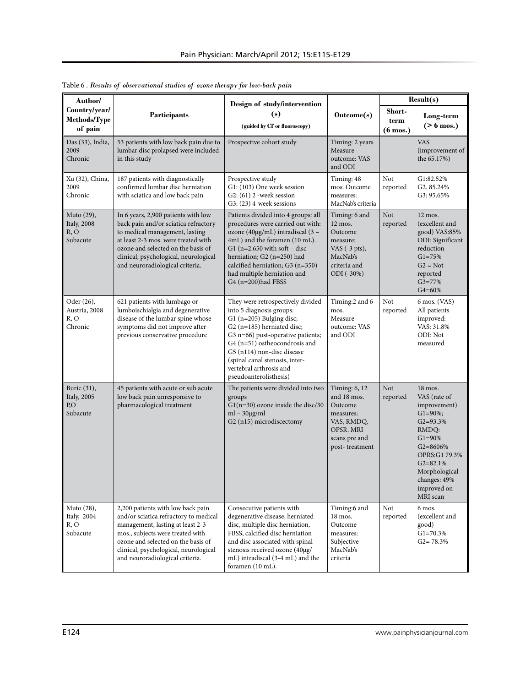| Author/                                                |                                                                                                                                                                                                                                                                        | Design of study/intervention                                                                                                                                                                                                                                                                                       |                                                                                                                       | Result(s)                            |                                                                                                                                                                                                                |  |
|--------------------------------------------------------|------------------------------------------------------------------------------------------------------------------------------------------------------------------------------------------------------------------------------------------------------------------------|--------------------------------------------------------------------------------------------------------------------------------------------------------------------------------------------------------------------------------------------------------------------------------------------------------------------|-----------------------------------------------------------------------------------------------------------------------|--------------------------------------|----------------------------------------------------------------------------------------------------------------------------------------------------------------------------------------------------------------|--|
| Country/year/<br><b>Methods/Type</b><br>of pain        | Participants                                                                                                                                                                                                                                                           | (s)<br>(guided by CT or fluoroscopy)                                                                                                                                                                                                                                                                               | Outcome(s)                                                                                                            | Short-<br>term<br>$(6 \text{ mos.})$ | Long-term<br>$($ > 6 mos.)                                                                                                                                                                                     |  |
| Das (33), Índia,<br>2009<br>Chronic                    | 53 patients with low back pain due to<br>lumbar disc prolapsed were included<br>in this study                                                                                                                                                                          | Prospective cohort study                                                                                                                                                                                                                                                                                           | Timing: 2 years<br>Measure<br>outcome: VAS<br>and ODI                                                                 |                                      | <b>VAS</b><br>(improvement of<br>the 65.17%)                                                                                                                                                                   |  |
| Xu (32), China,<br>2009<br>Chronic                     | 187 patients with diagnostically<br>confirmed lumbar disc herniation<br>with sciatica and low back pain                                                                                                                                                                | Prospective study<br>G1: (103) One week session<br>$G2$ : $(61)$ 2 -week session<br>G3: (23) 4-week sessions                                                                                                                                                                                                       | Timing: 48<br>mos. Outcome<br>measures:<br>MacNab's criteria                                                          | Not<br>reported                      | G1:82.52%<br>G2.85.24%<br>G3: 95.65%                                                                                                                                                                           |  |
| Muto (29),<br><b>Italy</b> , 2008<br>R, O<br>Subacute  | In 6 years, 2,900 patients with low<br>back pain and/or sciatica refractory<br>to medical management, lasting<br>at least 2-3 mos. were treated with<br>ozone and selected on the basis of<br>clinical, psychological, neurological<br>and neuroradiological criteria. | Patients divided into 4 groups: all<br>procedures were carried out with:<br>ozone (40μg/mL) intradiscal (3 -<br>4mL) and the foramen (10 mL).<br>G1 ( $n=2.650$ with soft – disc<br>herniation; G2 (n=250) had<br>calcified herniation; G3 (n=350)<br>had multiple herniation and<br>G4 (n=200)had FBSS            | Timing: 6 and<br>12 mos.<br>Outcome<br>measure:<br>VAS $(-3 \text{ pts})$ ,<br>MacNab's<br>criteria and<br>ODI (-30%) | Not<br>reported                      | 12 mos.<br>(excellent and<br>good) VAS:85%<br>ODI: Significant<br>reduction<br>$G1 = 75%$<br>$G2 = Not$<br>reported<br>$G3 = 77%$<br>G4=60%                                                                    |  |
| Oder (26),<br>Austria, 2008<br>R, O<br>Chronic         | 621 patients with lumbago or<br>lumboischialgia and degenerative<br>disease of the lumbar spine whose<br>symptoms did not improve after<br>previous conservative procedure                                                                                             | They were retrospectively divided<br>into 5 diagnosis groups:<br>G1 (n=205) Bulging disc;<br>G2 (n=185) herniated disc;<br>G3 n=66) post-operative patients;<br>G4 (n=51) ostheocondrosis and<br>G5 (n114) non-disc disease<br>(spinal canal stenosis, inter-<br>vertebral arthrosis and<br>pseudoanterolisthesis) | Timing:2 and 6<br>mos.<br>Measure<br>outcome: VAS<br>and ODI                                                          | Not<br>reported                      | 6 mos. (VAS)<br>All patients<br>improved:<br>VAS: 31.8%<br>ODI: Not<br>measured                                                                                                                                |  |
| Buric (31),<br><b>Italy</b> , 2005<br>P, O<br>Subacute | 45 patients with acute or sub acute<br>low back pain unresponsive to<br>pharmacological treatment                                                                                                                                                                      | The patients were divided into two<br>groups<br>$G1(n=30)$ ozone inside the disc/30<br>$ml - 30\mu g/ml$<br>G2 (n15) microdiscectomy                                                                                                                                                                               | Timing: 6, 12<br>and 18 mos.<br>Outcome<br>measures:<br>VAS, RMDQ,<br>OPSR. MRI<br>scans pre and<br>post-treatment    | Not<br>reported                      | $18$ mos.<br>VAS (rate of<br>improvement)<br>$G1 = 90\%;$<br>$G2 = 93.3%$<br>RMDQ:<br>$G1 = 90\%$<br>$G2 = 8606%$<br>OPRS:G1 79.3%<br>$G2 = 82.1%$<br>Morphological<br>changes: 49%<br>improved on<br>MRI scan |  |
| Muto (28),<br>Italy, 2004<br>R, O<br>Subacute          | 2,200 patients with low back pain<br>and/or sciatica refractory to medical<br>management, lasting at least 2-3<br>mos., subjects were treated with<br>ozone and selected on the basis of<br>clinical, psychological, neurological<br>and neuroradiological criteria.   | Consecutive patients with<br>degenerative disease, herniated<br>disc, multiple disc herniation,<br>FBSS, calcified disc herniation<br>and disc associated with spinal<br>stenosis received ozone (40µg/<br>mL) intradiscal (3-4 mL) and the<br>foramen (10 mL).                                                    | Timing:6 and<br>18 mos.<br>Outcome<br>measures:<br>Subjective<br>MacNab's<br>criteria                                 | Not<br>reported                      | 6 mos.<br>(excellent and<br>good)<br>$G1 = 70.3%$<br>$G2 = 78.3\%$                                                                                                                                             |  |

Table 6 . *Results of observational studies of ozone therapy for low-back pain*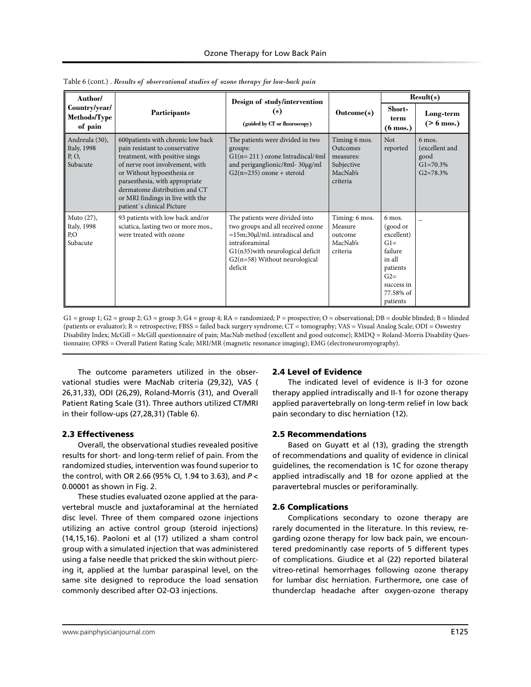| Author/                                            |                                                                                                                                                                                                                                                                                                             | Design of study/intervention                                                                                                                                                                                |                                                                                     |                                                                                                                            | Result(s)                                                                    |
|----------------------------------------------------|-------------------------------------------------------------------------------------------------------------------------------------------------------------------------------------------------------------------------------------------------------------------------------------------------------------|-------------------------------------------------------------------------------------------------------------------------------------------------------------------------------------------------------------|-------------------------------------------------------------------------------------|----------------------------------------------------------------------------------------------------------------------------|------------------------------------------------------------------------------|
| Country/year/<br>Methods/Type<br>of pain           | <b>Participants</b>                                                                                                                                                                                                                                                                                         | (s)<br>(guided by CT or fluoroscopy)                                                                                                                                                                        | $\text{Outcome}(s)$                                                                 | Short-<br>term<br>$(6 \text{ mos.})$                                                                                       | Long-term<br>$($ > 6 mos.)                                                   |
| Andreula (30),<br>Italy, 1998<br>P, O,<br>Subacute | 600patients with chronic low back<br>pain resistant to conservative<br>treatment, with positive sings<br>of nerve root involvement, with<br>or Without hypoesthesia or<br>paraesthesia, with appropriate<br>dermatome distribution and CT<br>or MRI findings in live with the<br>patient's clinical Picture | The patients were divided in two<br>groups:<br>$GI(n=211)$ ozone Intradiscal/4ml<br>and periganglionic/8ml-30µg/ml<br>$G2(n=235)$ ozone + steroid                                                           | Timing 6 mos.<br><b>Outcomes</b><br>measures:<br>Subjective<br>MacNab's<br>criteria | <b>Not</b><br>reported                                                                                                     | $6 \text{ mos.}$<br>(excellent and<br>good<br>$G1 = 70.3\%$<br>$G2 = 78.3\%$ |
| Muto $(27)$ ,<br>Italy, 1998<br>P,O<br>Subacute    | 93 patients with low back and/or<br>sciatica, lasting two or more mos.,<br>were treated with ozone                                                                                                                                                                                                          | The patients were divided into<br>two groups and all received ozone<br>$=15m;30\mu$ l/mL intradiscal and<br>intraforaminal<br>G1(n35) with neurological deficit<br>G2(n=58) Without neurological<br>deficit | Timing: 6 mos.<br>Measure<br>outcome<br>MacNab's<br>criteria                        | 6 mos.<br>(good or<br>excellent)<br>$G1=$<br>failure<br>in all<br>patients<br>$G2=$<br>success in<br>77.58% of<br>patients |                                                                              |

Table 6 (cont.) . *Results of observational studies of ozone therapy for low-back pain*

 $G1 = group 1; G2 = group 2; G3 = group 3; G4 = group 4; RA = randomized; P = prospective; O = observational; DB = double blinded; B = blinded$ (patients or evaluator); R = retrospective; FBSS = failed back surgery syndrome; CT = tomography; VAS = Visual Analog Scale; ODI = Oswestry Disability Index; McGill = McGill questionnaire of pain; MacNab method (excellent and good outcome); RMDQ = Roland-Morris Disability Questionnaire; OPRS = Overall Patient Rating Scale; MRI/MR (magnetic resonance imaging); EMG (electroneuromyography).

The outcome parameters utilized in the observational studies were MacNab criteria (29,32), VAS ( 26,31,33), ODI (26,29), Roland-Morris (31), and Overall Patient Rating Scale (31). Three authors utilized CT/MRI in their follow-ups (27,28,31) (Table 6).

## 2.3 Effectiveness

Overall, the observational studies revealed positive results for short- and long-term relief of pain. From the randomized studies, intervention was found superior to the control, with OR 2.66 (95% CI, 1.94 to 3.63), and *P* < 0.00001 as shown in Fig. 2.

These studies evaluated ozone applied at the paravertebral muscle and juxtaforaminal at the herniated disc level. Three of them compared ozone injections utilizing an active control group (steroid injections) (14,15,16). Paoloni et al (17) utilized a sham control group with a simulated injection that was administered using a false needle that pricked the skin without piercing it, applied at the lumbar paraspinal level, on the same site designed to reproduce the load sensation commonly described after O2-O3 injections.

## 2.4 Level of Evidence

The indicated level of evidence is II-3 for ozone therapy applied intradiscally and II-1 for ozone therapy applied paravertebrally on long-term relief in low back pain secondary to disc herniation (12).

## 2.5 Recommendations

Based on Guyatt et al (13), grading the strength of recommendations and quality of evidence in clinical guidelines, the recomendation is 1C for ozone therapy applied intradiscally and 1B for ozone applied at the paravertebral muscles or periforaminally.

## 2.6 Complications

Complications secondary to ozone therapy are rarely documented in the literature. In this review, regarding ozone therapy for low back pain, we encountered predominantly case reports of 5 different types of complications. Giudice et al (22) reported bilateral vitreo-retinal hemorrhages following ozone therapy for lumbar disc herniation. Furthermore, one case of thunderclap headache after oxygen-ozone therapy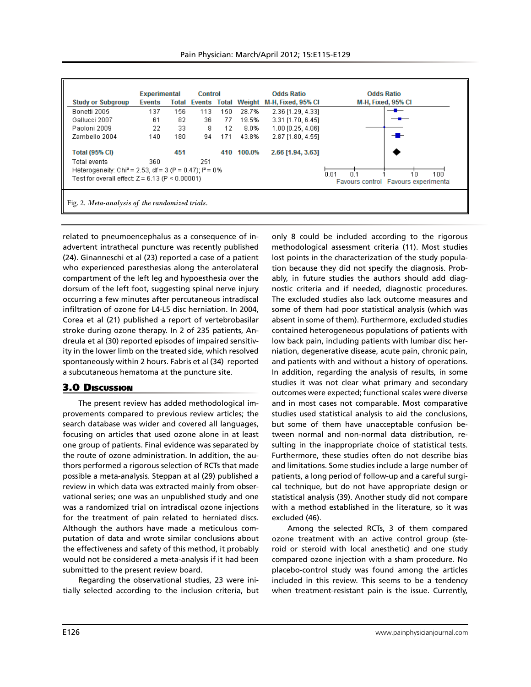|                                                                                                                 | <b>Experimental</b> |     | Control                   |     |        | <b>Odds Ratio</b>         | <b>Odds Ratio</b>  |
|-----------------------------------------------------------------------------------------------------------------|---------------------|-----|---------------------------|-----|--------|---------------------------|--------------------|
| <b>Study or Subgroup</b>                                                                                        | Events              |     | <b>Total Events Total</b> |     |        | Weight M-H, Fixed, 95% CI | M-H, Fixed, 95% CI |
| Bonetti 2005                                                                                                    | 137                 | 156 | 113                       | 150 | 28.7%  | 2.36 [1.29, 4.33]         |                    |
| Gallucci 2007                                                                                                   | 61                  | 82  | 36                        | 77  | 19.5%  | 3.31 [1.70, 6.45]         |                    |
| Paoloni 2009                                                                                                    | 22                  | 33  | 8                         | 12  | 8.0%   | 1.00 [0.25, 4.06]         |                    |
| Zambello 2004                                                                                                   | 140                 | 180 | 94                        | 171 | 43.8%  | 2.87 [1.80, 4.55]         | ╼█╾                |
| <b>Total (95% CI)</b>                                                                                           |                     | 451 |                           | 410 | 100.0% | 2.66 [1.94, 3.63]         |                    |
| Total events                                                                                                    | 360                 |     | 251                       |     |        |                           |                    |
| Heterogeneity: Chi <sup>2</sup> = 2.53, df = 3 (P = 0.47); $P = 0\%$                                            |                     |     |                           |     |        |                           |                    |
| 0.01<br>n 1<br>100<br>Test for overall effect: $Z = 6.13$ (P < 0.00001)<br>Favours control Favours experimental |                     |     |                           |     |        |                           |                    |
|                                                                                                                 |                     |     |                           |     |        |                           |                    |
|                                                                                                                 |                     |     |                           |     |        |                           |                    |
| Fig. 2. Meta-analysis of the randomized trials.                                                                 |                     |     |                           |     |        |                           |                    |

related to pneumoencephalus as a consequence of inadvertent intrathecal puncture was recently published (24). Ginanneschi et al (23) reported a case of a patient who experienced paresthesias along the anterolateral compartment of the left leg and hypoesthesia over the dorsum of the left foot, suggesting spinal nerve injury occurring a few minutes after percutaneous intradiscal infiltration of ozone for L4-L5 disc herniation. In 2004, Corea et al (21) published a report of vertebrobasilar stroke during ozone therapy. In 2 of 235 patients, Andreula et al (30) reported episodes of impaired sensitivity in the lower limb on the treated side, which resolved spontaneously within 2 hours. Fabris et al (34) reported a subcutaneous hematoma at the puncture site.

## 3.0 Discussion

The present review has added methodological improvements compared to previous review articles; the search database was wider and covered all languages, focusing on articles that used ozone alone in at least one group of patients. Final evidence was separated by the route of ozone administration. In addition, the authors performed a rigorous selection of RCTs that made possible a meta-analysis. Steppan at al (29) published a review in which data was extracted mainly from observational series; one was an unpublished study and one was a randomized trial on intradiscal ozone injections for the treatment of pain related to herniated discs. Although the authors have made a meticulous computation of data and wrote similar conclusions about the effectiveness and safety of this method, it probably would not be considered a meta-analysis if it had been submitted to the present review board.

Regarding the observational studies, 23 were initially selected according to the inclusion criteria, but only 8 could be included according to the rigorous methodological assessment criteria (11). Most studies lost points in the characterization of the study population because they did not specify the diagnosis. Probably, in future studies the authors should add diagnostic criteria and if needed, diagnostic procedures. The excluded studies also lack outcome measures and some of them had poor statistical analysis (which was absent in some of them). Furthermore, excluded studies contained heterogeneous populations of patients with low back pain, including patients with lumbar disc herniation, degenerative disease, acute pain, chronic pain, and patients with and without a history of operations. In addition, regarding the analysis of results, in some studies it was not clear what primary and secondary outcomes were expected; functional scales were diverse and in most cases not comparable. Most comparative studies used statistical analysis to aid the conclusions, but some of them have unacceptable confusion between normal and non-normal data distribution, resulting in the inappropriate choice of statistical tests. Furthermore, these studies often do not describe bias and limitations. Some studies include a large number of patients, a long period of follow-up and a careful surgical technique, but do not have appropriate design or statistical analysis (39). Another study did not compare with a method established in the literature, so it was excluded (46).

Among the selected RCTs, 3 of them compared ozone treatment with an active control group (steroid or steroid with local anesthetic) and one study compared ozone injection with a sham procedure. No placebo-control study was found among the articles included in this review. This seems to be a tendency when treatment-resistant pain is the issue. Currently,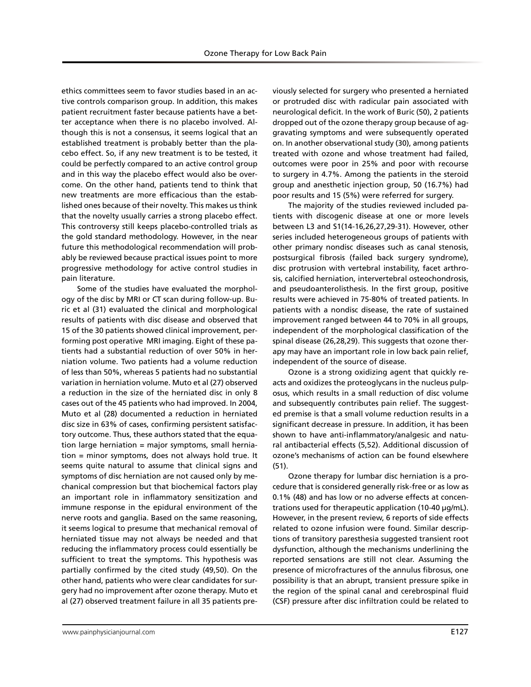ethics committees seem to favor studies based in an active controls comparison group. In addition, this makes patient recruitment faster because patients have a better acceptance when there is no placebo involved. Although this is not a consensus, it seems logical that an established treatment is probably better than the placebo effect. So, if any new treatment is to be tested, it could be perfectly compared to an active control group and in this way the placebo effect would also be overcome. On the other hand, patients tend to think that new treatments are more efficacious than the established ones because of their novelty. This makes us think that the novelty usually carries a strong placebo effect. This controversy still keeps placebo-controlled trials as the gold standard methodology. However, in the near future this methodological recommendation will probably be reviewed because practical issues point to more progressive methodology for active control studies in pain literature.

Some of the studies have evaluated the morphology of the disc by MRI or CT scan during follow-up. Buric et al (31) evaluated the clinical and morphological results of patients with disc disease and observed that 15 of the 30 patients showed clinical improvement, performing post operative MRI imaging. Eight of these patients had a substantial reduction of over 50% in herniation volume. Two patients had a volume reduction of less than 50%, whereas 5 patients had no substantial variation in herniation volume. Muto et al (27) observed a reduction in the size of the herniated disc in only 8 cases out of the 45 patients who had improved. In 2004, Muto et al (28) documented a reduction in herniated disc size in 63% of cases, confirming persistent satisfactory outcome. Thus, these authors stated that the equation large herniation = major symptoms, small herniation = minor symptoms, does not always hold true. It seems quite natural to assume that clinical signs and symptoms of disc herniation are not caused only by mechanical compression but that biochemical factors play an important role in inflammatory sensitization and immune response in the epidural environment of the nerve roots and ganglia. Based on the same reasoning, it seems logical to presume that mechanical removal of herniated tissue may not always be needed and that reducing the inflammatory process could essentially be sufficient to treat the symptoms. This hypothesis was partially confirmed by the cited study (49,50). On the other hand, patients who were clear candidates for surgery had no improvement after ozone therapy. Muto et al (27) observed treatment failure in all 35 patients previously selected for surgery who presented a herniated or protruded disc with radicular pain associated with neurological deficit. In the work of Buric (50), 2 patients dropped out of the ozone therapy group because of aggravating symptoms and were subsequently operated on. In another observational study (30), among patients treated with ozone and whose treatment had failed, outcomes were poor in 25% and poor with recourse to surgery in 4.7%. Among the patients in the steroid group and anesthetic injection group, 50 (16.7%) had poor results and 15 (5%) were referred for surgery.

The majority of the studies reviewed included patients with discogenic disease at one or more levels between L3 and S1(14-16,26,27,29-31). However, other series included heterogeneous groups of patients with other primary nondisc diseases such as canal stenosis, postsurgical fibrosis (failed back surgery syndrome), disc protrusion with vertebral instability, facet arthrosis, calcified herniation, intervertebral osteochondrosis, and pseudoanterolisthesis. In the first group, positive results were achieved in 75-80% of treated patients. In patients with a nondisc disease, the rate of sustained improvement ranged between 44 to 70% in all groups, independent of the morphological classification of the spinal disease (26,28,29). This suggests that ozone therapy may have an important role in low back pain relief, independent of the source of disease.

Ozone is a strong oxidizing agent that quickly reacts and oxidizes the proteoglycans in the nucleus pulposus, which results in a small reduction of disc volume and subsequently contributes pain relief. The suggested premise is that a small volume reduction results in a significant decrease in pressure. In addition, it has been shown to have anti-inflammatory/analgesic and natural antibacterial effects (5,52). Additional discussion of ozone's mechanisms of action can be found elsewhere (51).

Ozone therapy for lumbar disc herniation is a procedure that is considered generally risk-free or as low as 0.1% (48) and has low or no adverse effects at concentrations used for therapeutic application (10-40 µg/mL). However, in the present review, 6 reports of side effects related to ozone infusion were found. Similar descriptions of transitory paresthesia suggested transient root dysfunction, although the mechanisms underlining the reported sensations are still not clear. Assuming the presence of microfractures of the annulus fibrosus, one possibility is that an abrupt, transient pressure spike in the region of the spinal canal and cerebrospinal fluid (CSF) pressure after disc infiltration could be related to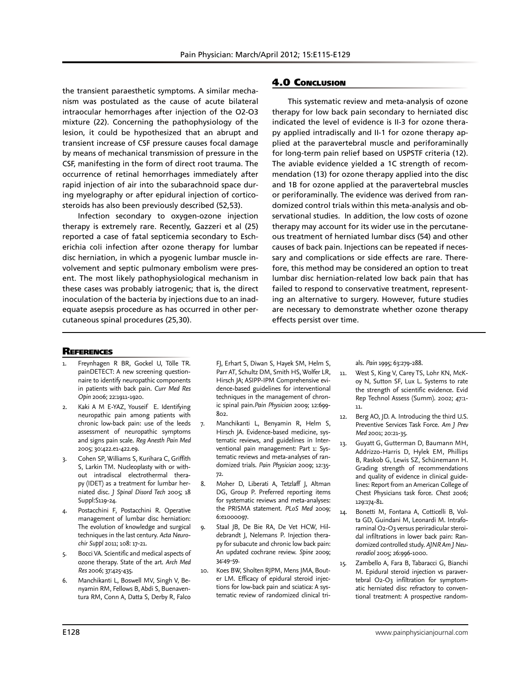the transient paraesthetic symptoms. A similar mechanism was postulated as the cause of acute bilateral intraocular hemorrhages after injection of the O2-O3 mixture (22). Concerning the pathophysiology of the lesion, it could be hypothesized that an abrupt and transient increase of CSF pressure causes focal damage by means of mechanical transmission of pressure in the CSF, manifesting in the form of direct root trauma. The occurrence of retinal hemorrhages immediately after rapid injection of air into the subarachnoid space during myelography or after epidural injection of corticosteroids has also been previously described (52,53).

Infection secondary to oxygen-ozone injection therapy is extremely rare. Recently, Gazzeri et al (25) reported a case of fatal septicemia secondary to Escherichia coli infection after ozone therapy for lumbar disc herniation, in which a pyogenic lumbar muscle involvement and septic pulmonary embolism were present. The most likely pathophysiological mechanism in these cases was probably iatrogenic; that is, the direct inoculation of the bacteria by injections due to an inadequate asepsis procedure as has occurred in other percutaneous spinal procedures (25,30).

## 4.0 Conclusion

This systematic review and meta-analysis of ozone therapy for low back pain secondary to herniated disc indicated the level of evidence is II-3 for ozone therapy applied intradiscally and II-1 for ozone therapy applied at the paravertebral muscle and periforaminally for long-term pain relief based on USPSTF criteria (12). The aviable evidence yielded a 1C strength of recommendation (13) for ozone therapy applied into the disc and 1B for ozone applied at the paravertebral muscles or periforaminally. The evidence was derived from randomized control trials within this meta-analysis and observational studies. In addition, the low costs of ozone therapy may account for its wider use in the percutaneous treatment of herniated lumbar discs (54) and other causes of back pain. Injections can be repeated if necessary and complications or side effects are rare. Therefore, this method may be considered an option to treat lumbar disc herniation-related low back pain that has failed to respond to conservative treatment, representing an alternative to surgery. However, future studies are necessary to demonstrate whether ozone therapy effects persist over time.

#### **REFERENCES**

- 1. Freynhagen R BR, Gockel U, Tölle TR. painDETECT: A new screening questionnaire to identify neuropathic components in patients with back pain. *Curr Med Res Opin* 2006; 22:1911-1920.
- Kaki A M E-YAZ, Youseif E. Identifying neuropathic pain among patients with chronic low-back pain: use of the leeds assessment of neuropathic symptoms and signs pain scale. *Reg Anesth Pain Med* 2005; 30:422.e1-422.e9.
- 3. Cohen SP, Williams S, Kurihara C, Griffith S, Larkin TM. Nucleoplasty with or without intradiscal electrothermal therapy (IDET) as a treatment for lumbar herniated disc. *J Spinal Disord Tech* 2005; 18 Suppl:S119-24.
- Postacchini F, Postacchini R. Operative management of lumbar disc herniation: The evolution of knowledge and surgical techniques in the last century. *Acta Neurochir Suppl* 2011; 108: 17-21.
- 5. Bocci VA. Scientific and medical aspects of ozone therapy. State of the art. *Arch Med Res* 2006; 37:425-435.
- 6. Manchikanti L, Boswell MV, Singh V, Benyamin RM, Fellows B, Abdi S, Buenaventura RM, Conn A, Datta S, Derby R, Falco

FJ, Erhart S, Diwan S, Hayek SM, Helm S, Parr AT, Schultz DM, Smith HS, Wolfer LR, Hirsch JA; ASIPP-IPM Comprehensive evidence-based guidelines for interventional techniques in the management of chronic spinal pain.*Pain Physician* 2009; 12:699- 802.

- 7. Manchikanti L, Benyamin R, Helm S, Hirsch JA. Evidence-based medicine, systematic reviews, and guidelines in Interventional pain management: Part 1: Systematic reviews and meta-analyses of randomized trials. *Pain Physician* 2009; 12:35- 72.
- 8. Moher D, Liberati A, Tetzlaff J, Altman DG, Group P. Preferred reporting items for systematic reviews and meta-analyses: the PRISMA statement. *PLoS Med* 2009; 6:e1000097.
- 9. Staal JB, De Bie RA, De Vet HCW, Hildebrandt J, Nelemans P. Injection therapy for subacute and chronic low back pain: An updated cochrane review. *Spine* 2009; 34:49-59.
- 10. Koes BW, Sholten RJPM, Mens JMA, Bouter LM. Efficacy of epidural steroid injections for low-back pain and sciatica: A systematic review of randomized clinical tri-

als. *Pain* 1995; 63:279-288.

- 11. West S, King V, Carey TS, Lohr KN, McKoy N, Sutton SF, Lux L. Systems to rate the strength of scientific evidence. Evid Rep Technol Assess (Summ). 2002; 47:1- 11.
- 12. Berg AO, JD. A. Introducing the third U.S. Preventive Services Task Force. *Am J Prev Med* 2001; 20:21-35.
- 13. Guyatt G, Gutterman D, Baumann MH, Addrizzo-Harris D, Hylek EM, Phillips B, Raskob G, Lewis SZ, Schünemann H. Grading strength of recommendations and quality of evidence in clinical guidelines: Report from an American College of Chest Physicians task force. *Chest* 2006; 129:174-81.
- 14. Bonetti M, Fontana A, Cotticelli B, Volta GD, Guindani M, Leonardi M. Intraforaminal O2-O3 versus periradicular steroidal infiltrations in lower back pain: Randomized controlled study. *AJNR Am J Neuroradiol* 2005; 26:996-1000.
- 15. Zambello A, Fara B, Tabaracci G, Bianchi M. Epidural steroid injection vs paravertebral O2-O3 infiltration for symptomatic herniated disc refractory to conventional treatment: A prospective random-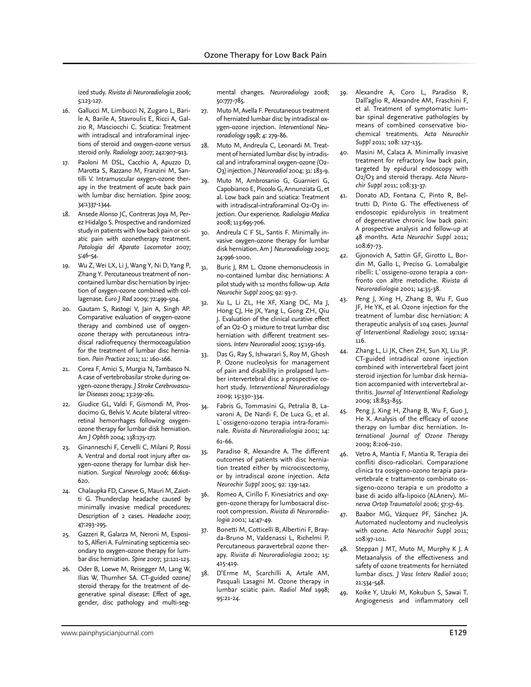ized study. *Rivista di Neuroradiologia* 2006; 5:123-127.

- 16. Gallucci M, Limbucci N, Zugaro L, Barile A, Barile A, Stavroulis E, Ricci A, Galzio R, Masciocchi C. Sciatica: Treatment with intradiscal and intraforaminal injections of steroid and oxygen-ozone versus steroid only. *Radiology* 2007; 242:907-913.
- 17. Paoloni M DSL, Cacchio A, Apuzzo D, Marotta S, Razzano M, Franzini M, Santilli V. Intramuscular oxygen-ozone therapy in the treatment of acute back pain with lumbar disc herniation. *Spine* 2009; 34:1337-1344.
- 18. Ansede Alonso JC, Contreras Joya M, Perez Hidalgo S. Prospective and randomized study in patients with low back pain or sciatic pain with ozonetherapy treatment. *Patologia del Aparato Locomotor* 2007; 5:46-54.
- 19. Wu Z, Wei LX, Li J, Wang Y, Ni D, Yang P, Zhang Y. Percutaneous treatment of noncontained lumbar disc herniation by injection of oxygen-ozone combined with collagenase. *Euro J Rad* 2009; 72:499-504.
- 20. Gautam S, Rastogi V, Jain A, Singh AP. Comparative evaluation of oxygen-ozone therapy and combined use of oxygenozone therapy with percutaneous intradiscal radiofrequency thermocoagulation for the treatment of lumbar disc herniation. *Pain Practice* 2011; 11: 160-166.
- 21. Corea F, Amici S, Murgia N, Tambasco N. A case of vertebrobasilar stroke during oxygen-ozone therapy. *J Stroke Cerebrovascular Diseases* 2004; 13:259-261.
- 22. Giudice GL, Valdi F, Gismondi M, Prosdocimo G, Belvis V. Acute bilateral vitreoretinal hemorrhages following oxygenozone therapy for lumbar disk herniation. *Am J Ophth* 2004; 138:175-177.
- 23. Ginanneschi F, Cervelli C, Milani P, Rossi A. Ventral and dorsal root injury after oxygen-ozone therapy for lumbar disk herniation. *Surgical Neurology* 2006; 66:619- 620.
- 24. Chalaupka FD, Caneve G, Mauri M, Zaiotti G. Thunderclap headache caused by minimally invasive medical procedures: Description of 2 cases. *Headache* 2007; 47:293-295.
- 25. Gazzeri R, Galarza M, Neroni M, Esposito S, Alfieri A. Fulminating septicemia secondary to oxygen-ozone therapy for lumbar disc herniation. *Spine* 2007; 32:121-123.
- 26. Oder B, Loewe M, Reisegger M, Lang W, Ilias W, Thurnher SA. CT-guided ozone/ steroid therapy for the treatment of degenerative spinal disease: Effect of age, gender, disc pathology and multi-seg-

mental changes. *Neuroradiology* 2008; 50:777-785.

- 27. Muto M, Avella F. Percutaneous treatment of herniated lumbar disc by intradiscal oxygen-ozone injection. *Interventional Neuroradiology* 1998; 4: 279-86.
- 28. Muto M, Andreula C, Leonardi M. Treatment of herniated lumbar disc by intradiscal and intraforaminal oxygen-ozone (O2- O3) injection. *J Neuroradiol* 2004; 31: 183-9.
- 29. Muto M, Ambrosanio G, Guarnieri G, Capobianco E, Piccolo G, Annunziata G, et al. Low back pain and sciatica: Treatment with intradiscal-intraforaminal O2-O3 injection. Our experience. *Radiologia Medica* 2008; 113:695-706.
- 30. Andreula C F SL, Santis F. Minimally invasive oxygen-ozone therapy for lumbar disk herniation. Am J *Neuroradiology* 2003; 24:996-1000.
- 31. Buric J, RM L. Ozone chemonucleosis in no-contained lumbar disc herniations: A pilot study with 12 months follow-up. *Acta Neurochir Suppl* 2005; 92: 93-7.
- 32. Xu L, Li ZL, He XF, Xiang DC, Ma J, Hong CJ, He JX, Yang L, Gong ZH, Qiu J. Evaluation of the clinical curative effect of an O2-O 3 mixture to treat lumbar disc herniation with different treatment sessions. *Interv Neuroradiol* 2009; 15:159-163.
- 33. Das G, Ray S, Ishwarari S, Roy M, Ghosh P. Ozone nucleolysis for management of pain and disability in prolapsed lumber intervertebral disc a prospective cohort study. *Interventional Neuroradiology* 2009; 15:330-334.
- 34. Fabris G, Tommasini G, Petralia B, Lavaroni A, De Nardi F, De Luca G, et al. L`ossigeno-ozono terapia intra-foraminale. *Rivista di Neuroradiologia* 2001; 14: 61-66.
- 35. Paradiso R, Alexandre A. The different outcomes of patients with disc herniation treated either by microciscectomy, or by intradiscal ozone injection. *Acta Neurochir Suppl* 2005; 92: 139-142.
- 36. Romeo A, Cirillo F. Kinesiatrics and oxygen-ozone therapy for lumbosacral discroot compression. *Rivista di Neuroradiologia* 2001; 14:47-49.
- 37. Bonetti M, Cotticelli B, Albertini F, Brayda-Bruno M, Valdenassi L, Richelmi P. Percutaneous paravertebral ozone therapy. *Rivista di Neuroradiologia* 2002; 15: 415-419.
- 38. D'Erme M, Scarchilli A, Artale AM, Pasquali Lasagni M. Ozone therapy in lumbar sciatic pain. *Radiol Med* 1998; 95:21-24.
- 39. Alexandre A, Coro L, Paradiso R, Dall'aglio R, Alexandre AM, Fraschini F, et al. Treatment of symptomatic lumbar spinal degenerative pathologies by means of combined conservative biochemical treatments. *Acta Neurochir Suppl* 2011; 108: 127-135.
- 40. Masini M, Calaca A. Minimally invasive treatment for refractory low back pain, targeted by epidural endoscopy with O2/O3 and steroid therapy. *Acta Neurochir Suppl* 2011; 108:33-37.
- 41. Donato AD, Fontana C, Pinto R, Beltrutti D, Pinto G. The effectiveness of endoscopic epidurolysis in treatment of degenerative chronic low back pain: A prospective analysis and follow-up at 48 months. *Acta Neurochir Suppl* 2011; 108:67-73.
- 42. Gjonovich A, Sattin GF, Girotto L, Bordin M, Gallo L, Preciso G. Lomabalgie ribelli: L`ossigeno-ozono terapia a confronto con altre metodiche. *Rivista di Neuroradiologia* 2001; 14:35-38.
- 43. Peng J, Xing H, Zhang B, Wu F, Guo JF, He YK, et al. Ozone injection for the treatment of lumbar disc herniation: A therapeutic analysis of 104 cases. *Journal of Interventional Radiology* 2010; 19:114- 116.
- 44. Zhang L, Li JK, Chen ZH, Sun XJ, Liu JP. CT-guided intradiscal ozone injection combined with intervertebral facet joint steroid injection for lumbar disk herniation accompanied with intervertebral arthritis. *Journal of Interventional Radiology* 2009; 18:853-855.
- 45. Peng J, Xing H, Zhang B, Wu F, Guo J, He X. Analysis of the efficacy of ozone therapy on lumbar disc herniation. *International Journal of Ozone Therapy* 2009; 8:206-210.
- 46. Vetro A, Mantia F, Mantia R. Terapia dei confliti disco-radicolari. Comparazione clinica tra ossigeno-ozono terapia paravertebrale e trattamento combinato ossigeno-ozono terapia e un prodotto a base di acido alfa-lipoico (ALAnerv). *Minerva Ortop Traumatolol* 2006; 57:57-63.
- 47. Baabor MG, Vázquez PF, Sánchez JA. Automated nucleotomy and nucleolysis with ozone. *Acta Neurochir Suppl* 2011; 108:97-101.
- 48. Steppan J MT, Muto M, Murphy K J. A Metaanalysis of the effectiveness and safety of ozone treatments for herniated lumbar discs. *J Vasc Interv Radiol* 2010; 21:534-548.
- 49. Koike Y, Uzuki M, Kokubun S, Sawai T. Angiogenesis and inflammatory cell